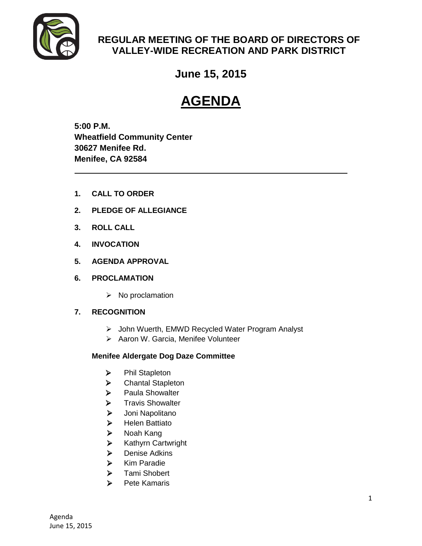

# **REGULAR MEETING OF THE BOARD OF DIRECTORS OF VALLEY-WIDE RECREATION AND PARK DISTRICT**

**June 15, 2015**

# **AGENDA**

**5:00 P.M. Wheatfield Community Center 30627 Menifee Rd. Menifee, CA 92584**

- **1. CALL TO ORDER**
- **2. PLEDGE OF ALLEGIANCE**
- **3. ROLL CALL**
- **4. INVOCATION**
- **5. AGENDA APPROVAL**
- **6. PROCLAMATION**
	- $\triangleright$  No proclamation

# **7. RECOGNITION**

- John Wuerth, EMWD Recycled Water Program Analyst
- > Aaron W. Garcia, Menifee Volunteer

# **Menifee Aldergate Dog Daze Committee**

- > Phil Stapleton
- > Chantal Stapleton
- > Paula Showalter
- > Travis Showalter
- Joni Napolitano
- $\blacktriangleright$  Helen Battiato
- > Noah Kang
- $\triangleright$  Kathyrn Cartwright
- > Denise Adkins
- $\triangleright$  Kim Paradie
- > Tami Shobert
- $\triangleright$  Pete Kamaris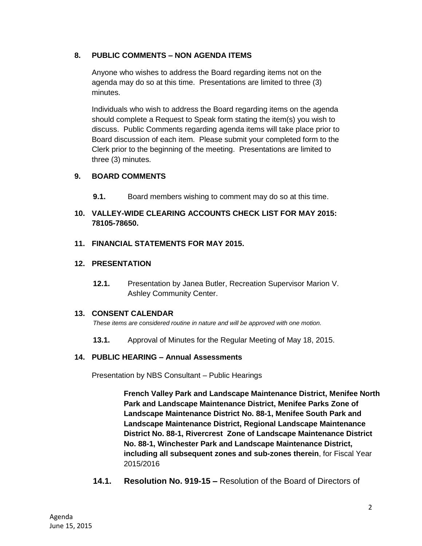# **8. PUBLIC COMMENTS – NON AGENDA ITEMS**

Anyone who wishes to address the Board regarding items not on the agenda may do so at this time. Presentations are limited to three (3) minutes.

Individuals who wish to address the Board regarding items on the agenda should complete a Request to Speak form stating the item(s) you wish to discuss. Public Comments regarding agenda items will take place prior to Board discussion of each item. Please submit your completed form to the Clerk prior to the beginning of the meeting. Presentations are limited to three (3) minutes.

# **9. BOARD COMMENTS**

- **9.1.** Board members wishing to comment may do so at this time.
- **10. VALLEY-WIDE CLEARING ACCOUNTS CHECK LIST FOR MAY 2015: 78105-78650.**
- **11. FINANCIAL STATEMENTS FOR MAY 2015.**
- **12. PRESENTATION** 
	- **12.1.** Presentation by Janea Butler, Recreation Supervisor Marion V. Ashley Community Center.

# **13. CONSENT CALENDAR**

*These items are considered routine in nature and will be approved with one motion.* 

**13.1.** Approval of Minutes for the Regular Meeting of May 18, 2015.

#### **14. PUBLIC HEARING – Annual Assessments**

Presentation by NBS Consultant – Public Hearings

**French Valley Park and Landscape Maintenance District, Menifee North Park and Landscape Maintenance District, Menifee Parks Zone of Landscape Maintenance District No. 88-1, Menifee South Park and Landscape Maintenance District, Regional Landscape Maintenance District No. 88-1, Rivercrest Zone of Landscape Maintenance District No. 88-1, Winchester Park and Landscape Maintenance District, including all subsequent zones and sub-zones therein**, for Fiscal Year 2015/2016

**14.1. Resolution No. 919-15 –** Resolution of the Board of Directors of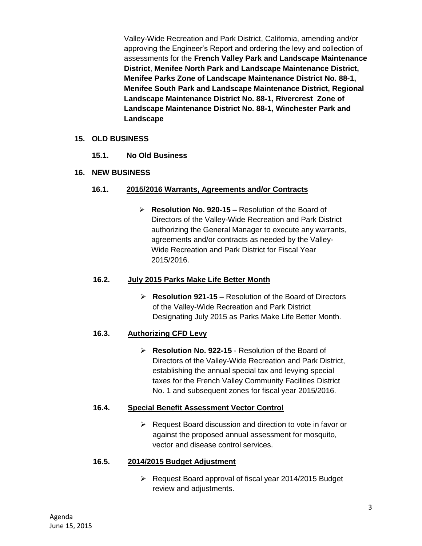Valley-Wide Recreation and Park District, California, amending and/or approving the Engineer's Report and ordering the levy and collection of assessments for the **French Valley Park and Landscape Maintenance District**, **Menifee North Park and Landscape Maintenance District, Menifee Parks Zone of Landscape Maintenance District No. 88-1, Menifee South Park and Landscape Maintenance District, Regional Landscape Maintenance District No. 88-1, Rivercrest Zone of Landscape Maintenance District No. 88-1, Winchester Park and Landscape** 

### **15. OLD BUSINESS**

**15.1. No Old Business** 

# **16. NEW BUSINESS**

### **16.1. 2015/2016 Warrants, Agreements and/or Contracts**

 **Resolution No. 920-15 –** Resolution of the Board of Directors of the Valley-Wide Recreation and Park District authorizing the General Manager to execute any warrants, agreements and/or contracts as needed by the Valley-Wide Recreation and Park District for Fiscal Year 2015/2016.

#### **16.2. July 2015 Parks Make Life Better Month**

 **Resolution 921-15 –** Resolution of the Board of Directors of the Valley-Wide Recreation and Park District Designating July 2015 as Parks Make Life Better Month.

# **16.3. Authorizing CFD Levy**

 **Resolution No. 922-15** - Resolution of the Board of Directors of the Valley-Wide Recreation and Park District, establishing the annual special tax and levying special taxes for the French Valley Community Facilities District No. 1 and subsequent zones for fiscal year 2015/2016.

# **16.4. Special Benefit Assessment Vector Control**

 $\triangleright$  Request Board discussion and direction to vote in favor or against the proposed annual assessment for mosquito, vector and disease control services.

#### **16.5. 2014/2015 Budget Adjustment**

 Request Board approval of fiscal year 2014/2015 Budget review and adjustments.